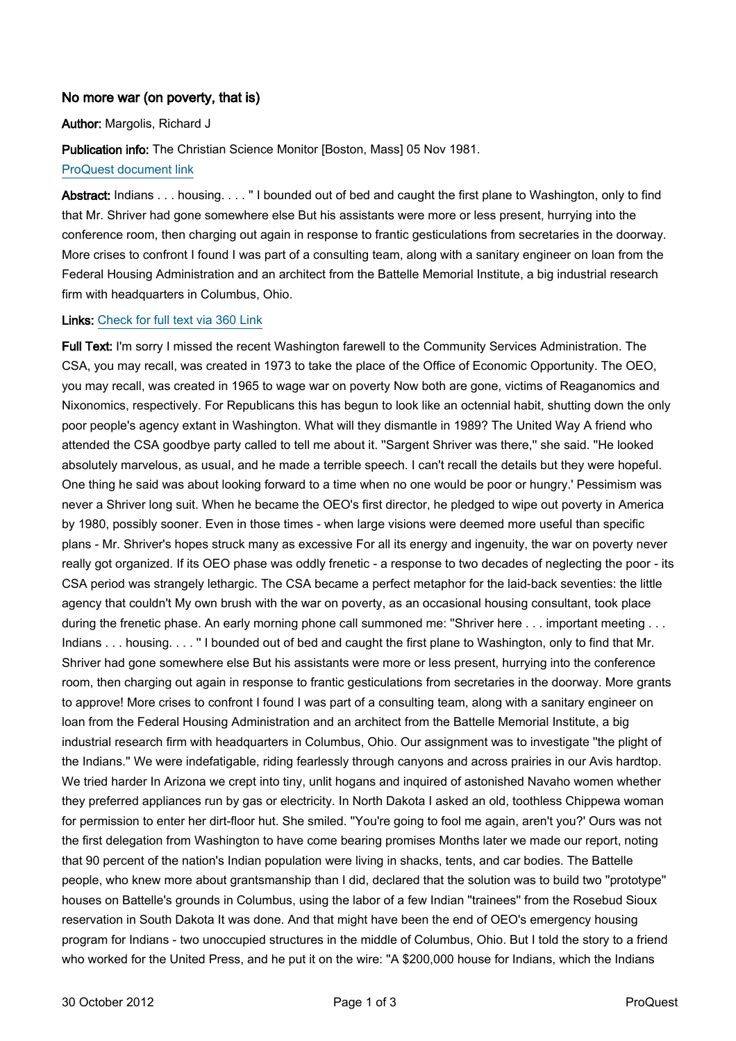## No more war (on poverty, that is)

Author: Margolis, Richard J

Publication info: The Christian Science Monitor [Boston, Mass] 05 Nov 1981.

[ProQuest document link](http://ezproxy.lib.uconn.edu/login?url=http://search.proquest.com/docview/1038834504?accountid=14518)

Abstract: Indians . . . housing. . . . "I bounded out of bed and caught the first plane to Washington, only to find that Mr. Shriver had gone somewhere else But his assistants were more or less present, hurrying into the conference room, then charging out again in response to frantic gesticulations from secretaries in the doorway. More crises to confront I found I was part of a consulting team, along with a sanitary engineer on loan from the Federal Housing Administration and an architect from the Battelle Memorial Institute, a big industrial research firm with headquarters in Columbus, Ohio.

## Links: [Check for full text via 360 Link](http://TK8NJ5XN8A.search.serialssolutions.com/?ctx_ver=Z39.88-2004&ctx_enc=info:ofi/enc:UTF-8&rfr_id=info:sid/ProQ:christiansciencemonitor&rft_val_fmt=info:ofi/fmt:kev:mtx:journal&rft.genre=unknown&rft.jtitle=The%20Christian%20Science%20Monitor&rft.atitle=No%20more%20war%20(on%20poverty,%20that%20is)&rft.au=Margolis,%20Richard%20J&rft.aulast=Margolis&rft.aufirst=Richard&rft.date=1981-11-05&rft.volume=&rft.issue=&rft.spage=&rft.isbn=&rft.btitle=&rft.title=The%20Christian%20Science%20Monitor&rft.issn=08827729)

Full Text: I'm sorry I missed the recent Washington farewell to the Community Services Administration. The CSA, you may recall, was created in 1973 to take the place of the Office of Economic Opportunity. The OEO, you may recall, was created in 1965 to wage war on poverty Now both are gone, victims of Reaganomics and Nixonomics, respectively. For Republicans this has begun to look like an octennial habit, shutting down the only poor people's agency extant in Washington. What will they dismantle in 1989? The United Way A friend who attended the CSA goodbye party called to tell me about it. ''Sargent Shriver was there,'' she said. ''He looked absolutely marvelous, as usual, and he made a terrible speech. I can't recall the details but they were hopeful. One thing he said was about looking forward to a time when no one would be poor or hungry.' Pessimism was never a Shriver long suit. When he became the OEO's first director, he pledged to wipe out poverty in America by 1980, possibly sooner. Even in those times - when large visions were deemed more useful than specific plans - Mr. Shriver's hopes struck many as excessive For all its energy and ingenuity, the war on poverty never really got organized. If its OEO phase was oddly frenetic - a response to two decades of neglecting the poor - its CSA period was strangely lethargic. The CSA became a perfect metaphor for the laid-back seventies: the little agency that couldn't My own brush with the war on poverty, as an occasional housing consultant, took place during the frenetic phase. An early morning phone call summoned me: "Shriver here . . . important meeting . . . Indians . . . housing. . . . '' I bounded out of bed and caught the first plane to Washington, only to find that Mr. Shriver had gone somewhere else But his assistants were more or less present, hurrying into the conference room, then charging out again in response to frantic gesticulations from secretaries in the doorway. More grants to approve! More crises to confront I found I was part of a consulting team, along with a sanitary engineer on loan from the Federal Housing Administration and an architect from the Battelle Memorial Institute, a big industrial research firm with headquarters in Columbus, Ohio. Our assignment was to investigate ''the plight of the Indians.'' We were indefatigable, riding fearlessly through canyons and across prairies in our Avis hardtop. We tried harder In Arizona we crept into tiny, unlit hogans and inquired of astonished Navaho women whether they preferred appliances run by gas or electricity. In North Dakota I asked an old, toothless Chippewa woman for permission to enter her dirt-floor hut. She smiled. ''You're going to fool me again, aren't you?' Ours was not the first delegation from Washington to have come bearing promises Months later we made our report, noting that 90 percent of the nation's Indian population were living in shacks, tents, and car bodies. The Battelle people, who knew more about grantsmanship than I did, declared that the solution was to build two ''prototype'' houses on Battelle's grounds in Columbus, using the labor of a few Indian ''trainees'' from the Rosebud Sioux reservation in South Dakota It was done. And that might have been the end of OEO's emergency housing program for Indians - two unoccupied structures in the middle of Columbus, Ohio. But I told the story to a friend who worked for the United Press, and he put it on the wire: ''A \$200,000 house for Indians, which the Indians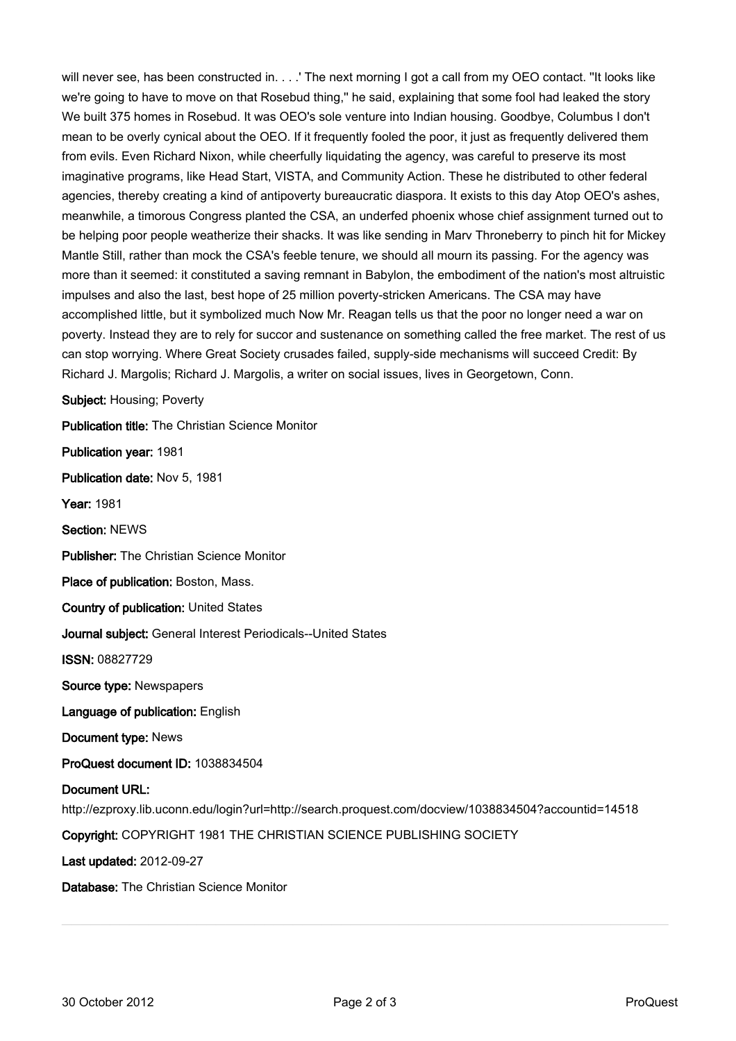will never see, has been constructed in. . . .' The next morning I got a call from my OEO contact. "It looks like we're going to have to move on that Rosebud thing,'' he said, explaining that some fool had leaked the story We built 375 homes in Rosebud. It was OEO's sole venture into Indian housing. Goodbye, Columbus I don't mean to be overly cynical about the OEO. If it frequently fooled the poor, it just as frequently delivered them from evils. Even Richard Nixon, while cheerfully liquidating the agency, was careful to preserve its most imaginative programs, like Head Start, VISTA, and Community Action. These he distributed to other federal agencies, thereby creating a kind of antipoverty bureaucratic diaspora. It exists to this day Atop OEO's ashes, meanwhile, a timorous Congress planted the CSA, an underfed phoenix whose chief assignment turned out to be helping poor people weatherize their shacks. It was like sending in Marv Throneberry to pinch hit for Mickey Mantle Still, rather than mock the CSA's feeble tenure, we should all mourn its passing. For the agency was more than it seemed: it constituted a saving remnant in Babylon, the embodiment of the nation's most altruistic impulses and also the last, best hope of 25 million poverty-stricken Americans. The CSA may have accomplished little, but it symbolized much Now Mr. Reagan tells us that the poor no longer need a war on poverty. Instead they are to rely for succor and sustenance on something called the free market. The rest of us can stop worrying. Where Great Society crusades failed, supply-side mechanisms will succeed Credit: By Richard J. Margolis; Richard J. Margolis, a writer on social issues, lives in Georgetown, Conn.

Subject: Housing; Poverty

Publication title: The Christian Science Monitor Publication year: 1981 Publication date: Nov 5, 1981 Year: 1981 Section: NEWS Publisher: The Christian Science Monitor Place of publication: Boston, Mass. Country of publication: United States Journal subject: General Interest Periodicals--United States ISSN: 08827729 Source type: Newspapers Language of publication: English Document type: News ProQuest document ID: 1038834504 Document URL: http://ezproxy.lib.uconn.edu/login?url=http://search.proquest.com/docview/1038834504?accountid=14518 Copyright: COPYRIGHT 1981 THE CHRISTIAN SCIENCE PUBLISHING SOCIETY Last updated: 2012-09-27 Database: The Christian Science Monitor